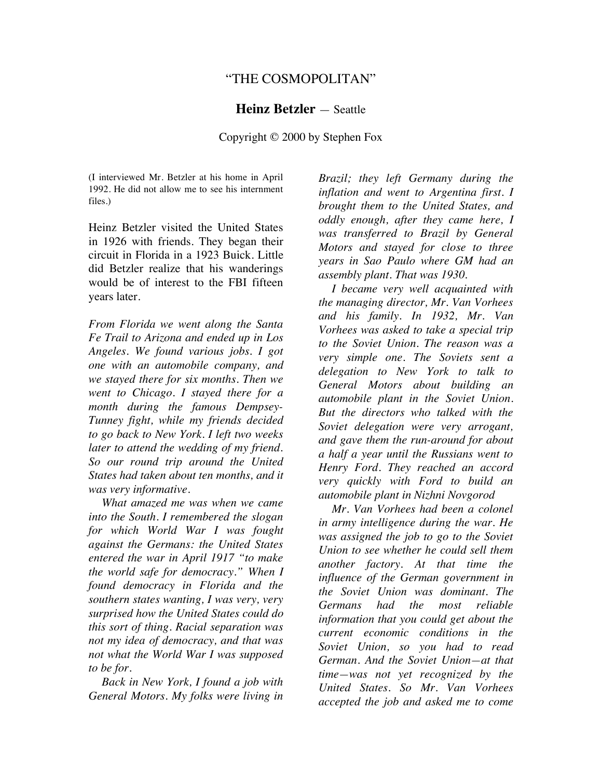# "THE COSMOPOLITAN"

#### **Heinz Betzler** — Seattle

## Copyright © 2000 by Stephen Fox

(I interviewed Mr. Betzler at his home in April 1992. He did not allow me to see his internment files.)

Heinz Betzler visited the United States in 1926 with friends. They began their circuit in Florida in a 1923 Buick. Little did Betzler realize that his wanderings would be of interest to the FBI fifteen years later.

*From Florida we went along the Santa Fe Trail to Arizona and ended up in Los Angeles. We found various jobs. I got one with an automobile company, and we stayed there for six months. Then we went to Chicago. I stayed there for a month during the famous Dempsey-Tunney fight, while my friends decided to go back to New York. I left two weeks later to attend the wedding of my friend. So our round trip around the United States had taken about ten months, and it was very informative.* 

*What amazed me was when we came into the South. I remembered the slogan for which World War I was fought against the Germans: the United States entered the war in April 1917 "to make the world safe for democracy." When I found democracy in Florida and the southern states wanting, I was very, very surprised how the United States could do this sort of thing. Racial separation was not my idea of democracy, and that was not what the World War I was supposed to be for.* 

*Back in New York, I found a job with General Motors. My folks were living in*  *Brazil; they left Germany during the inflation and went to Argentina first. I brought them to the United States, and oddly enough, after they came here, I was transferred to Brazil by General Motors and stayed for close to three years in Sao Paulo where GM had an assembly plant. That was 1930.* 

*I became very well acquainted with the managing director, Mr. Van Vorhees and his family. In 1932, Mr. Van Vorhees was asked to take a special trip to the Soviet Union. The reason was a very simple one. The Soviets sent a delegation to New York to talk to General Motors about building an automobile plant in the Soviet Union. But the directors who talked with the Soviet delegation were very arrogant, and gave them the run-around for about a half a year until the Russians went to Henry Ford. They reached an accord very quickly with Ford to build an automobile plant in Nizhni Novgorod* 

*Mr. Van Vorhees had been a colonel in army intelligence during the war. He was assigned the job to go to the Soviet Union to see whether he could sell them another factory. At that time the influence of the German government in the Soviet Union was dominant. The Germans had the most reliable information that you could get about the current economic conditions in the Soviet Union, so you had to read German. And the Soviet Union—at that time—was not yet recognized by the United States. So Mr. Van Vorhees accepted the job and asked me to come*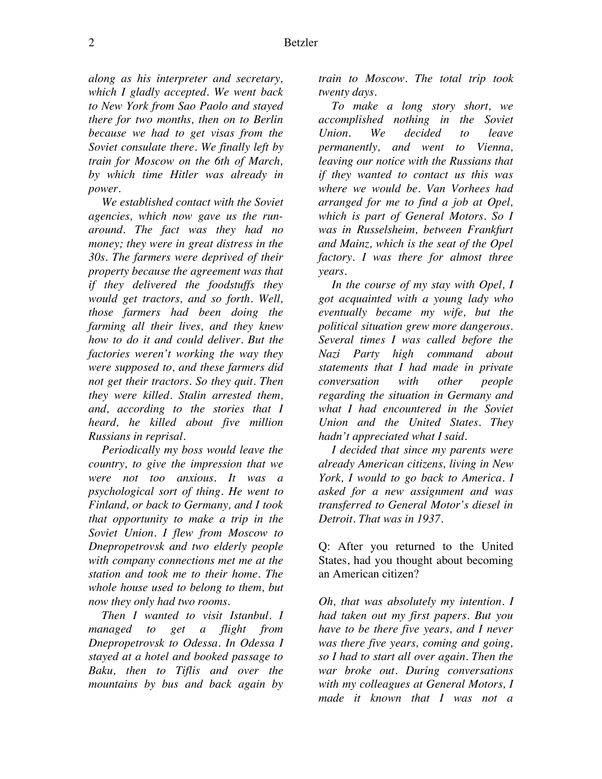*along as his interpreter and secretary, which I gladly accepted. We went back to New York from Sao Paolo and stayed there for two months, then on to Berlin because we had to get visas from the Soviet consulate there. We finally left by train for Moscow on the 6th of March, by which time Hitler was already in power.* 

*We established contact with the Soviet agencies, which now gave us the runaround. The fact was they had no money; they were in great distress in the 30s. The farmers were deprived of their property because the agreement was that if they delivered the foodstuffs they would get tractors, and so forth. Well, those farmers had been doing the farming all their lives, and they knew how to do it and could deliver. But the factories weren't working the way they were supposed to, and these farmers did not get their tractors. So they quit. Then they were killed. Stalin arrested them, and, according to the stories that I heard, he killed about five million Russians in reprisal.* 

*Periodically my boss would leave the country, to give the impression that we were not too anxious. It was a psychological sort of thing. He went to Finland, or back to Germany, and I took that opportunity to make a trip in the Soviet Union. I flew from Moscow to Dnepropetrovsk and two elderly people with company connections met me at the station and took me to their home. The whole house used to belong to them, but now they only had two rooms.* 

*Then I wanted to visit Istanbul. I managed to get a flight from Dnepropetrovsk to Odessa. In Odessa I stayed at a hotel and booked passage to Baku, then to Tiflis and over the mountains by bus and back again by* 

*train to Moscow. The total trip took twenty days.*

*To make a long story short, we accomplished nothing in the Soviet Union. We decided to leave permanently, and went to Vienna, leaving our notice with the Russians that if they wanted to contact us this was where we would be. Van Vorhees had arranged for me to find a job at Opel, which is part of General Motors. So I was in Russelsheim, between Frankfurt and Mainz, which is the seat of the Opel factory. I was there for almost three years.* 

*In the course of my stay with Opel, I got acquainted with a young lady who eventually became my wife, but the political situation grew more dangerous. Several times I was called before the Nazi Party high command about statements that I had made in private conversation with other people regarding the situation in Germany and what I had encountered in the Soviet Union and the United States. They hadn't appreciated what I said.* 

*I decided that since my parents were already American citizens, living in New York, I would to go back to America. I asked for a new assignment and was transferred to General Motor's diesel in Detroit. That was in 1937.* 

Q: After you returned to the United States, had you thought about becoming an American citizen?

*Oh, that was absolutely my intention. I had taken out my first papers. But you have to be there five years, and I never was there five years, coming and going, so I had to start all over again. Then the war broke out. During conversations with my colleagues at General Motors, I made it known that I was not a*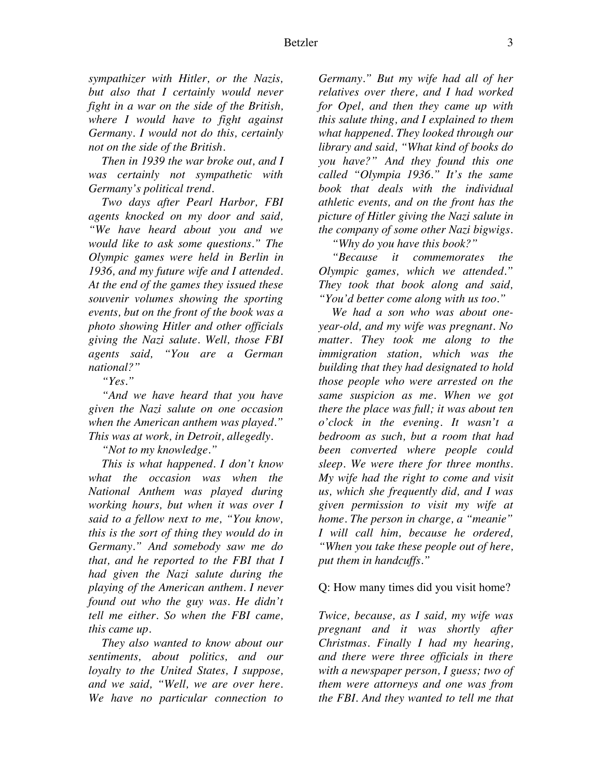*sympathizer with Hitler, or the Nazis, but also that I certainly would never fight in a war on the side of the British, where I would have to fight against Germany. I would not do this, certainly not on the side of the British.* 

*Then in 1939 the war broke out, and I was certainly not sympathetic with Germany's political trend.* 

*Two days after Pearl Harbor, FBI agents knocked on my door and said, "We have heard about you and we would like to ask some questions." The Olympic games were held in Berlin in 1936, and my future wife and I attended. At the end of the games they issued these souvenir volumes showing the sporting events, but on the front of the book was a photo showing Hitler and other officials giving the Nazi salute. Well, those FBI agents said, "You are a German national?"* 

*"Yes."* 

*"And we have heard that you have given the Nazi salute on one occasion when the American anthem was played." This was at work, in Detroit, allegedly.* 

*"Not to my knowledge."* 

*This is what happened. I don't know what the occasion was when the National Anthem was played during working hours, but when it was over I said to a fellow next to me, "You know, this is the sort of thing they would do in Germany." And somebody saw me do that, and he reported to the FBI that I had given the Nazi salute during the playing of the American anthem. I never found out who the guy was. He didn't tell me either. So when the FBI came, this came up.* 

*They also wanted to know about our sentiments, about politics, and our loyalty to the United States, I suppose, and we said, "Well, we are over here. We have no particular connection to* 

*Germany." But my wife had all of her relatives over there, and I had worked for Opel, and then they came up with this salute thing, and I explained to them what happened. They looked through our library and said, "What kind of books do you have?" And they found this one called "Olympia 1936." It's the same book that deals with the individual athletic events, and on the front has the picture of Hitler giving the Nazi salute in the company of some other Nazi bigwigs.* 

*"Why do you have this book?"* 

*"Because it commemorates the Olympic games, which we attended." They took that book along and said, "You'd better come along with us too."* 

*We had a son who was about oneyear-old, and my wife was pregnant. No matter. They took me along to the immigration station, which was the building that they had designated to hold those people who were arrested on the same suspicion as me. When we got there the place was full; it was about ten o'clock in the evening. It wasn't a bedroom as such, but a room that had been converted where people could sleep. We were there for three months. My wife had the right to come and visit us, which she frequently did, and I was given permission to visit my wife at home. The person in charge, a "meanie" I will call him, because he ordered, "When you take these people out of here, put them in handcuffs."* 

## Q: How many times did you visit home?

*Twice, because, as I said, my wife was pregnant and it was shortly after Christmas. Finally I had my hearing, and there were three officials in there with a newspaper person, I guess; two of them were attorneys and one was from the FBI. And they wanted to tell me that*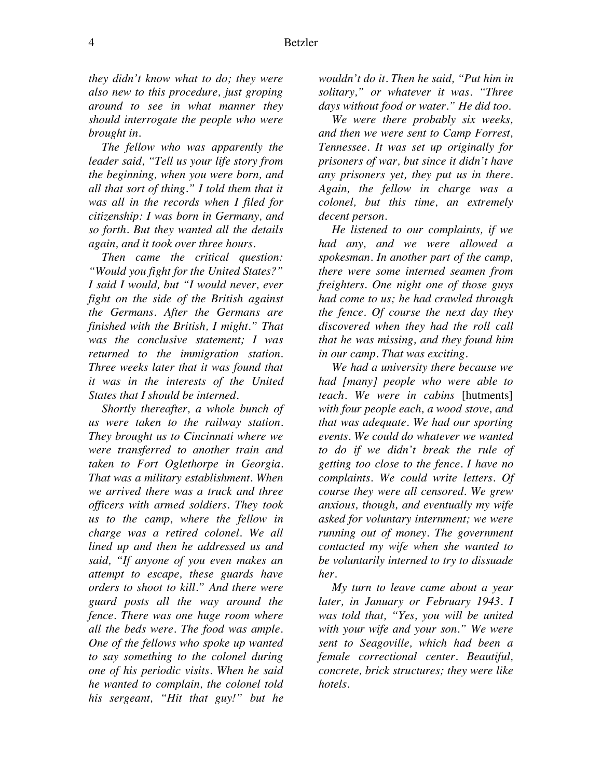*they didn't know what to do; they were also new to this procedure, just groping around to see in what manner they should interrogate the people who were brought in.*

*The fellow who was apparently the leader said, "Tell us your life story from the beginning, when you were born, and all that sort of thing." I told them that it was all in the records when I filed for citizenship: I was born in Germany, and so forth. But they wanted all the details again, and it took over three hours.* 

*Then came the critical question: "Would you fight for the United States?" I said I would, but "I would never, ever fight on the side of the British against the Germans. After the Germans are finished with the British, I might." That was the conclusive statement; I was returned to the immigration station. Three weeks later that it was found that it was in the interests of the United States that I should be interned.*

*Shortly thereafter, a whole bunch of us were taken to the railway station. They brought us to Cincinnati where we were transferred to another train and taken to Fort Oglethorpe in Georgia. That was a military establishment. When we arrived there was a truck and three officers with armed soldiers. They took us to the camp, where the fellow in charge was a retired colonel. We all lined up and then he addressed us and said, "If anyone of you even makes an attempt to escape, these guards have orders to shoot to kill." And there were guard posts all the way around the fence. There was one huge room where all the beds were. The food was ample. One of the fellows who spoke up wanted to say something to the colonel during one of his periodic visits. When he said he wanted to complain, the colonel told his sergeant, "Hit that guy!" but he* 

*wouldn't do it. Then he said, "Put him in solitary," or whatever it was. "Three days without food or water." He did too.* 

*We were there probably six weeks, and then we were sent to Camp Forrest, Tennessee. It was set up originally for prisoners of war, but since it didn't have any prisoners yet, they put us in there. Again, the fellow in charge was a colonel, but this time, an extremely decent person.* 

*He listened to our complaints, if we had any, and we were allowed a spokesman. In another part of the camp, there were some interned seamen from freighters. One night one of those guys had come to us; he had crawled through the fence. Of course the next day they discovered when they had the roll call that he was missing, and they found him in our camp. That was exciting.* 

*We had a university there because we had [many] people who were able to teach. We were in cabins* [hutments] *with four people each, a wood stove, and that was adequate. We had our sporting events. We could do whatever we wanted to do if we didn't break the rule of getting too close to the fence. I have no complaints. We could write letters. Of course they were all censored. We grew anxious, though, and eventually my wife asked for voluntary internment; we were running out of money. The government contacted my wife when she wanted to be voluntarily interned to try to dissuade her.* 

*My turn to leave came about a year later, in January or February 1943. I was told that, "Yes, you will be united with your wife and your son." We were sent to Seagoville, which had been a female correctional center. Beautiful, concrete, brick structures; they were like hotels.*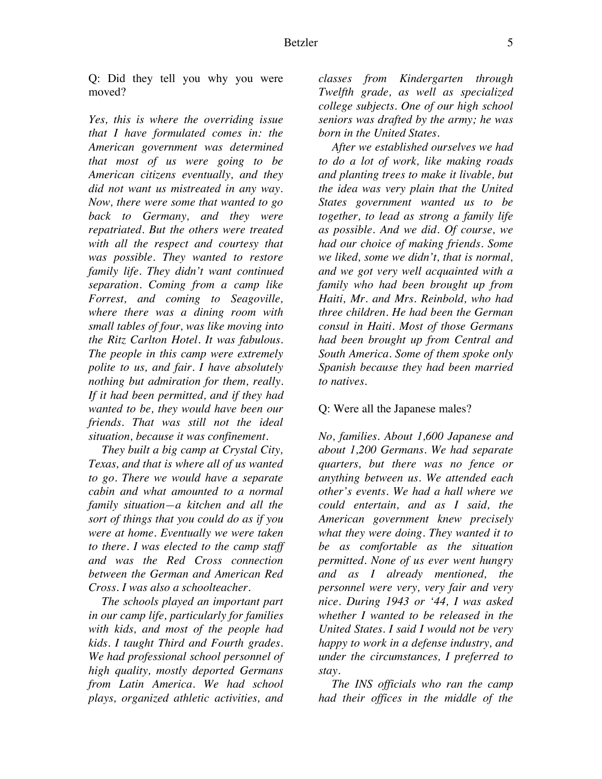Q: Did they tell you why you were moved?

*Yes, this is where the overriding issue that I have formulated comes in: the American government was determined that most of us were going to be American citizens eventually, and they did not want us mistreated in any way. Now, there were some that wanted to go back to Germany, and they were repatriated. But the others were treated with all the respect and courtesy that was possible. They wanted to restore family life. They didn't want continued separation. Coming from a camp like Forrest, and coming to Seagoville, where there was a dining room with small tables of four, was like moving into the Ritz Carlton Hotel. It was fabulous. The people in this camp were extremely polite to us, and fair. I have absolutely nothing but admiration for them, really. If it had been permitted, and if they had wanted to be, they would have been our friends. That was still not the ideal situation, because it was confinement.* 

*They built a big camp at Crystal City, Texas, and that is where all of us wanted to go. There we would have a separate cabin and what amounted to a normal family situation—a kitchen and all the sort of things that you could do as if you were at home. Eventually we were taken to there. I was elected to the camp staff and was the Red Cross connection between the German and American Red Cross. I was also a schoolteacher.*

*The schools played an important part in our camp life, particularly for families with kids, and most of the people had kids. I taught Third and Fourth grades. We had professional school personnel of high quality, mostly deported Germans from Latin America. We had school plays, organized athletic activities, and* 

*classes from Kindergarten through Twelfth grade, as well as specialized college subjects. One of our high school seniors was drafted by the army; he was born in the United States.* 

*After we established ourselves we had to do a lot of work, like making roads and planting trees to make it livable, but the idea was very plain that the United States government wanted us to be together, to lead as strong a family life as possible. And we did. Of course, we had our choice of making friends. Some we liked, some we didn't, that is normal, and we got very well acquainted with a family who had been brought up from Haiti, Mr. and Mrs. Reinbold, who had three children. He had been the German consul in Haiti. Most of those Germans had been brought up from Central and South America. Some of them spoke only Spanish because they had been married to natives.* 

#### Q: Were all the Japanese males?

*No, families. About 1,600 Japanese and about 1,200 Germans. We had separate quarters, but there was no fence or anything between us. We attended each other's events. We had a hall where we could entertain, and as I said, the American government knew precisely what they were doing. They wanted it to be as comfortable as the situation permitted. None of us ever went hungry and as I already mentioned, the personnel were very, very fair and very nice. During 1943 or '44, I was asked whether I wanted to be released in the United States. I said I would not be very happy to work in a defense industry, and under the circumstances, I preferred to stay.*

*The INS officials who ran the camp had their offices in the middle of the*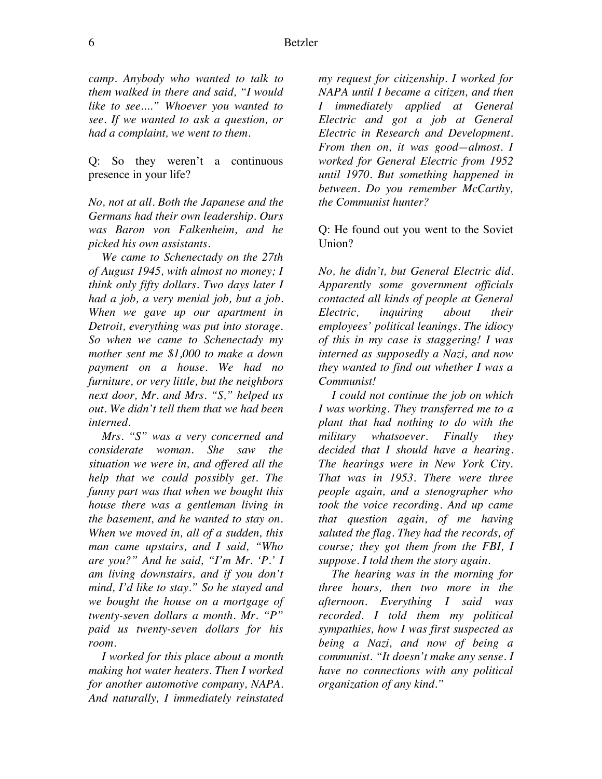*camp. Anybody who wanted to talk to them walked in there and said, "I would like to see...." Whoever you wanted to see. If we wanted to ask a question, or had a complaint, we went to them.* 

Q: So they weren't a continuous presence in your life?

*No, not at all. Both the Japanese and the Germans had their own leadership. Ours was Baron von Falkenheim, and he picked his own assistants.* 

*We came to Schenectady on the 27th of August 1945, with almost no money; I think only fifty dollars. Two days later I had a job, a very menial job, but a job. When we gave up our apartment in Detroit, everything was put into storage. So when we came to Schenectady my mother sent me \$1,000 to make a down payment on a house. We had no furniture, or very little, but the neighbors next door, Mr. and Mrs. "S," helped us out. We didn't tell them that we had been interned.* 

*Mrs. "S" was a very concerned and considerate woman. She saw the situation we were in, and offered all the help that we could possibly get. The funny part was that when we bought this house there was a gentleman living in the basement, and he wanted to stay on. When we moved in, all of a sudden, this man came upstairs, and I said, "Who are you?" And he said, "I'm Mr. 'P.' I am living downstairs, and if you don't mind, I'd like to stay." So he stayed and we bought the house on a mortgage of twenty-seven dollars a month. Mr. "P" paid us twenty-seven dollars for his room.* 

*I worked for this place about a month making hot water heaters. Then I worked for another automotive company, NAPA. And naturally, I immediately reinstated*  *my request for citizenship. I worked for NAPA until I became a citizen, and then I immediately applied at General Electric and got a job at General Electric in Research and Development. From then on, it was good—almost. I worked for General Electric from 1952 until 1970. But something happened in between. Do you remember McCarthy, the Communist hunter?*

Q: He found out you went to the Soviet Union?

*No, he didn't, but General Electric did. Apparently some government officials contacted all kinds of people at General Electric, inquiring about their employees' political leanings. The idiocy of this in my case is staggering! I was interned as supposedly a Nazi, and now they wanted to find out whether I was a Communist!* 

*I could not continue the job on which I was working. They transferred me to a plant that had nothing to do with the military whatsoever. Finally they decided that I should have a hearing. The hearings were in New York City. That was in 1953. There were three people again, and a stenographer who took the voice recording. And up came that question again, of me having saluted the flag. They had the records, of course; they got them from the FBI, I suppose. I told them the story again.* 

*The hearing was in the morning for three hours, then two more in the afternoon. Everything I said was recorded. I told them my political sympathies, how I was first suspected as being a Nazi, and now of being a communist. "It doesn't make any sense. I have no connections with any political organization of any kind."*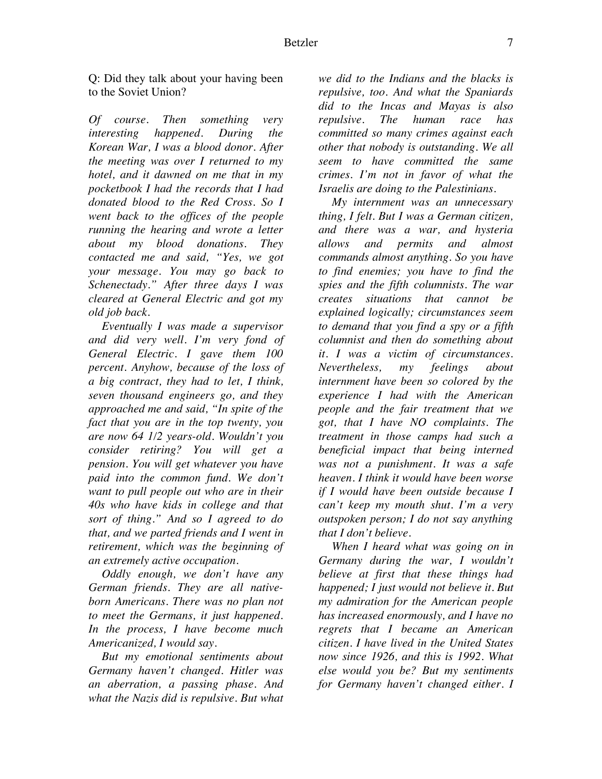Q: Did they talk about your having been to the Soviet Union?

*Of course. Then something very interesting happened. During the Korean War, I was a blood donor. After the meeting was over I returned to my hotel, and it dawned on me that in my pocketbook I had the records that I had donated blood to the Red Cross. So I went back to the offices of the people running the hearing and wrote a letter about my blood donations. They contacted me and said, "Yes, we got your message. You may go back to Schenectady." After three days I was cleared at General Electric and got my old job back.* 

*Eventually I was made a supervisor and did very well. I'm very fond of General Electric. I gave them 100 percent. Anyhow, because of the loss of a big contract, they had to let, I think, seven thousand engineers go, and they approached me and said, "In spite of the fact that you are in the top twenty, you are now 64 1/2 years-old. Wouldn't you consider retiring? You will get a pension. You will get whatever you have paid into the common fund. We don't want to pull people out who are in their 40s who have kids in college and that sort of thing." And so I agreed to do that, and we parted friends and I went in retirement, which was the beginning of an extremely active occupation.* 

*Oddly enough, we don't have any German friends. They are all nativeborn Americans. There was no plan not to meet the Germans, it just happened. In the process, I have become much Americanized, I would say.* 

*But my emotional sentiments about Germany haven't changed. Hitler was an aberration, a passing phase. And what the Nazis did is repulsive. But what* 

*we did to the Indians and the blacks is repulsive, too. And what the Spaniards did to the Incas and Mayas is also repulsive. The human race has committed so many crimes against each other that nobody is outstanding. We all seem to have committed the same crimes. I'm not in favor of what the Israelis are doing to the Palestinians.* 

*My internment was an unnecessary thing, I felt. But I was a German citizen, and there was a war, and hysteria allows and permits and almost commands almost anything. So you have to find enemies; you have to find the spies and the fifth columnists. The war creates situations that cannot be explained logically; circumstances seem to demand that you find a spy or a fifth columnist and then do something about it. I was a victim of circumstances. Nevertheless, my feelings about internment have been so colored by the experience I had with the American people and the fair treatment that we got, that I have NO complaints. The treatment in those camps had such a beneficial impact that being interned was not a punishment. It was a safe heaven. I think it would have been worse if I would have been outside because I can't keep my mouth shut. I'm a very outspoken person; I do not say anything that I don't believe.* 

*When I heard what was going on in Germany during the war, I wouldn't believe at first that these things had happened; I just would not believe it. But my admiration for the American people has increased enormously, and I have no regrets that I became an American citizen. I have lived in the United States now since 1926, and this is 1992. What else would you be? But my sentiments for Germany haven't changed either. I*